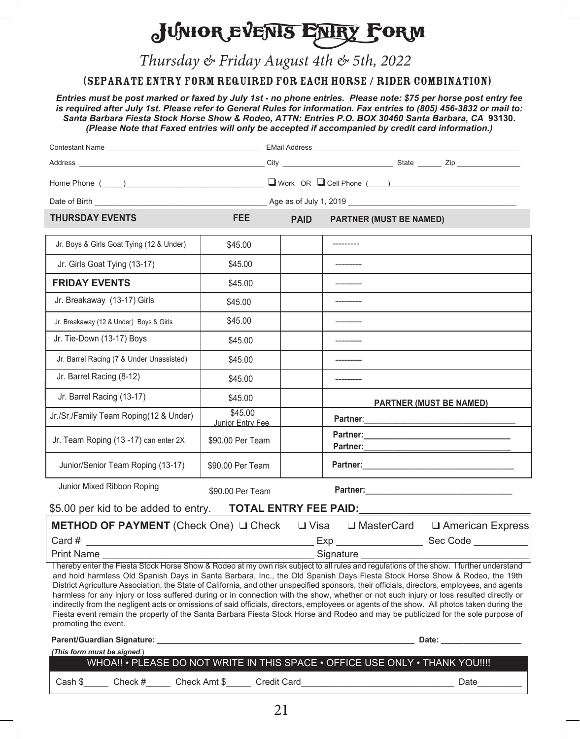## JUNIOR EVENTS ENTRY FORM

Thursday & Friday August 4th & 5th, 2022

(Separate Entry Form Required for each Horse / Rider Combination)

*Entries must be post marked or faxed by July 1st - no phone entries. Please note: \$75 per horse post entry fee is required after July 1st. Please refer to General Rules for information. Fax entries to (805) 456-3832 or mail to: Santa Barbara Fiesta Stock Horse Show & Rodeo, ATTN: Entries P.O. BOX 30460 Santa Barbara, CA* **93130.** *(Please Note that Faxed entries will only be accepted if accompanied by credit card information.)*

|                                                                                          |                                    | Home Phone $(\_\_\_)$ |                                                                                                                                                                                                                                                                                                                                                                                                                                                                                                                                                                                                                                                                                                                                                                                                                                                    |  |  |  |
|------------------------------------------------------------------------------------------|------------------------------------|-----------------------|----------------------------------------------------------------------------------------------------------------------------------------------------------------------------------------------------------------------------------------------------------------------------------------------------------------------------------------------------------------------------------------------------------------------------------------------------------------------------------------------------------------------------------------------------------------------------------------------------------------------------------------------------------------------------------------------------------------------------------------------------------------------------------------------------------------------------------------------------|--|--|--|
|                                                                                          |                                    |                       |                                                                                                                                                                                                                                                                                                                                                                                                                                                                                                                                                                                                                                                                                                                                                                                                                                                    |  |  |  |
| <b>THURSDAY EVENTS</b>                                                                   | <b>FEE</b>                         | <b>PAID</b>           | <b>PARTNER (MUST BE NAMED)</b>                                                                                                                                                                                                                                                                                                                                                                                                                                                                                                                                                                                                                                                                                                                                                                                                                     |  |  |  |
| Jr. Boys & Girls Goat Tying (12 & Under)                                                 | \$45.00                            |                       |                                                                                                                                                                                                                                                                                                                                                                                                                                                                                                                                                                                                                                                                                                                                                                                                                                                    |  |  |  |
| Jr. Girls Goat Tying (13-17)                                                             | \$45.00                            |                       |                                                                                                                                                                                                                                                                                                                                                                                                                                                                                                                                                                                                                                                                                                                                                                                                                                                    |  |  |  |
| <b>FRIDAY EVENTS</b>                                                                     | \$45.00                            |                       |                                                                                                                                                                                                                                                                                                                                                                                                                                                                                                                                                                                                                                                                                                                                                                                                                                                    |  |  |  |
| Jr. Breakaway (13-17) Girls                                                              | \$45.00                            |                       |                                                                                                                                                                                                                                                                                                                                                                                                                                                                                                                                                                                                                                                                                                                                                                                                                                                    |  |  |  |
| Jr. Breakaway (12 & Under) Boys & Girls                                                  | \$45.00                            |                       |                                                                                                                                                                                                                                                                                                                                                                                                                                                                                                                                                                                                                                                                                                                                                                                                                                                    |  |  |  |
| Jr. Tie-Down (13-17) Boys                                                                | \$45.00                            |                       |                                                                                                                                                                                                                                                                                                                                                                                                                                                                                                                                                                                                                                                                                                                                                                                                                                                    |  |  |  |
| Jr. Barrel Racing (7 & Under Unassisted)                                                 | \$45.00                            |                       |                                                                                                                                                                                                                                                                                                                                                                                                                                                                                                                                                                                                                                                                                                                                                                                                                                                    |  |  |  |
| Jr. Barrel Racing (8-12)                                                                 | \$45.00                            |                       |                                                                                                                                                                                                                                                                                                                                                                                                                                                                                                                                                                                                                                                                                                                                                                                                                                                    |  |  |  |
| Jr. Barrel Racing (13-17)                                                                | \$45.00                            |                       | <b>PARTNER (MUST BE NAMED)</b>                                                                                                                                                                                                                                                                                                                                                                                                                                                                                                                                                                                                                                                                                                                                                                                                                     |  |  |  |
| Jr./Sr./Family Team Roping(12 & Under)                                                   | \$45.00<br>Junior Entry Fee        |                       |                                                                                                                                                                                                                                                                                                                                                                                                                                                                                                                                                                                                                                                                                                                                                                                                                                                    |  |  |  |
| Jr. Team Roping (13 -17) can enter 2X                                                    | \$90.00 Per Team                   |                       | Partner:                                                                                                                                                                                                                                                                                                                                                                                                                                                                                                                                                                                                                                                                                                                                                                                                                                           |  |  |  |
| Junior/Senior Team Roping (13-17)                                                        | \$90.00 Per Team                   |                       | Partner: 2008 2009 2009 2010 2021 2022 2023 2024 2022 2023 2024 2022 2023 2024 2022 2023 2024 2025 2026 2027 20                                                                                                                                                                                                                                                                                                                                                                                                                                                                                                                                                                                                                                                                                                                                    |  |  |  |
| Junior Mixed Ribbon Roping<br>\$5.00 per kid to be added to entry. TOTAL ENTRY FEE PAID: | \$90.00 Per Team                   |                       |                                                                                                                                                                                                                                                                                                                                                                                                                                                                                                                                                                                                                                                                                                                                                                                                                                                    |  |  |  |
|                                                                                          |                                    |                       | <b>METHOD OF PAYMENT</b> (Check One) Q Check Q Visa Q MasterCard Q American Express                                                                                                                                                                                                                                                                                                                                                                                                                                                                                                                                                                                                                                                                                                                                                                |  |  |  |
| Card #                                                                                   |                                    |                       |                                                                                                                                                                                                                                                                                                                                                                                                                                                                                                                                                                                                                                                                                                                                                                                                                                                    |  |  |  |
|                                                                                          |                                    |                       | Print Name example and the set of the set of the Signature Signature example and the set of the set of the set of the set of the set of the set of the set of the set of the set of the set of the set of the set of the set o                                                                                                                                                                                                                                                                                                                                                                                                                                                                                                                                                                                                                     |  |  |  |
| promoting the event.                                                                     |                                    |                       | I hereby enter the Fiesta Stock Horse Show & Rodeo at my own risk subject to all rules and regulations of the show. I further understand<br>and hold harmless Old Spanish Days in Santa Barbara, Inc., the Old Spanish Days Fiesta Stock Horse Show & Rodeo, the 19th<br>District Agriculture Association, the State of California, and other unspecified sponsors, their officials, directors, employees, and agents<br>harmless for any injury or loss suffered during or in connection with the show, whether or not such injury or loss resulted directly or<br>indirectly from the negligent acts or omissions of said officials, directors, employees or agents of the show. All photos taken during the<br>Fiesta event remain the property of the Santa Barbara Fiesta Stock Horse and Rodeo and may be publicized for the sole purpose of |  |  |  |
|                                                                                          |                                    |                       | Date: __________________                                                                                                                                                                                                                                                                                                                                                                                                                                                                                                                                                                                                                                                                                                                                                                                                                           |  |  |  |
| (This form must be signed.)                                                              |                                    |                       | WHOA !! • PLEASE DO NOT WRITE IN THIS SPACE • OFFICE USE ONLY • THANK YOU !!!!                                                                                                                                                                                                                                                                                                                                                                                                                                                                                                                                                                                                                                                                                                                                                                     |  |  |  |
| Cash \$<br>Check #                                                                       | Check Amt \$<br><b>Credit Card</b> |                       | Date                                                                                                                                                                                                                                                                                                                                                                                                                                                                                                                                                                                                                                                                                                                                                                                                                                               |  |  |  |